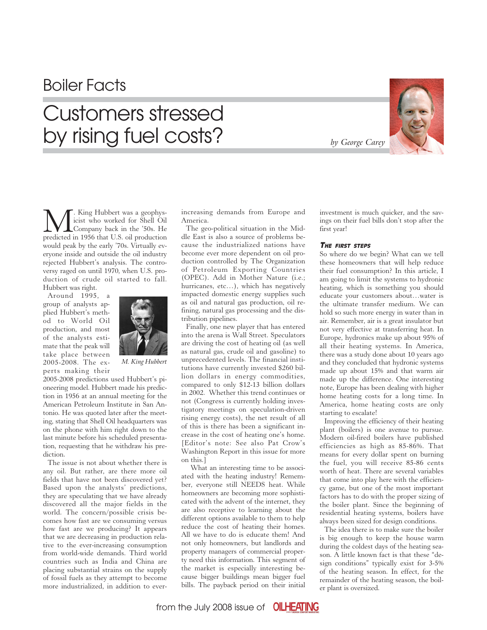## Boiler Facts

# Customers stressed by rising fuel costs?



M. King Hubbert was a geophys-predicted in 1956 that U.S. oil production icist who worked for Shell Oil Company back in the '50s. He would peak by the early '70s. Virtually everyone inside and outside the oil industry rejected Hubbert's analysis. The controversy raged on until 1970, when U.S. production of crude oil started to fall. Hubbert was right.

Around 1995, a group of analysts applied Hubbert's method to World Oil production, and most of the analysts estimate that the peak will take place between 2005-2008. The experts making their



*M. King Hubbert*

2005-2008 predictions used Hubbert's pioneering model. Hubbert made his prediction in 1956 at an annual meeting for the American Petroleum Institute in San Antonio. He was quoted later after the meeting, stating that Shell Oil headquarters was on the phone with him right down to the last minute before his scheduled presentation, requesting that he withdraw his prediction.

The issue is not about whether there is any oil. But rather, are there more oil fields that have not been discovered yet? Based upon the analysts' predictions, they are speculating that we have already discovered all the major fields in the world. The concern/possible crisis becomes how fast are we consuming versus how fast are we producing? It appears that we are decreasing in production relative to the ever-increasing consumption from world-wide demands. Third world countries such as India and China are placing substantial strains on the supply of fossil fuels as they attempt to become more industrialized, in addition to everincreasing demands from Europe and America.

The geo-political situation in the Middle East is also a source of problems because the industrialized nations have become ever more dependent on oil production controlled by The Organization of Petroleum Exporting Countries (OPEC). Add in Mother Nature (i.e.; hurricanes, etc…), which has negatively impacted domestic energy supplies such as oil and natural gas production, oil refining, natural gas processing and the distribution pipelines.

Finally, one new player that has entered into the arena is Wall Street. Speculators are driving the cost of heating oil (as well as natural gas, crude oil and gasoline) to unprecedented levels. The financial institutions have currently invested \$260 billion dollars in energy commodities, compared to only \$12-13 billion dollars in 2002. Whether this trend continues or not (Congress is currently holding investigatory meetings on speculation-driven rising energy costs), the net result of all of this is there has been a significant increase in the cost of heating one's home. [Editor's note: See also Pat Crow's Washington Report in this issue for more on this.]

 What an interesting time to be associated with the heating industry! Remember, everyone still NEEDS heat. While homeowners are becoming more sophisticated with the advent of the internet, they are also receptive to learning about the different options available to them to help reduce the cost of heating their homes. All we have to do is educate them! And not only homeowners, but landlords and property managers of commercial property need this information. This segment of the market is especially interesting because bigger buildings mean bigger fuel bills. The payback period on their initial

investment is much quicker, and the savings on their fuel bills don't stop after the first year!

### THE FIRST STEPS

So where do we begin? What can we tell these homeowners that will help reduce their fuel consumption? In this article, I am going to limit the systems to hydronic heating, which is something you should educate your customers about…water is the ultimate transfer medium. We can hold so such more energy in water than in air. Remember, air is a great insulator but not very effective at transferring heat. In Europe, hydronics make up about 95% of all their heating systems. In America, there was a study done about 10 years ago and they concluded that hydronic systems made up about 15% and that warm air made up the difference. One interesting note, Europe has been dealing with higher home heating costs for a long time. In America, home heating costs are only starting to escalate!

Improving the efficiency of their heating plant (boilers) is one avenue to pursue. Modern oil-fired boilers have published efficiencies as high as 85-86%. That means for every dollar spent on burning the fuel, you will receive 85-86 cents worth of heat. There are several variables that come into play here with the efficiency game, but one of the most important factors has to do with the proper sizing of the boiler plant. Since the beginning of residential heating systems, boilers have always been sized for design conditions.

The idea there is to make sure the boiler is big enough to keep the house warm during the coldest days of the heating season. A little known fact is that these "design conditions" typically exist for 3-5% of the heating season. In effect, for the remainder of the heating season, the boiler plant is oversized.